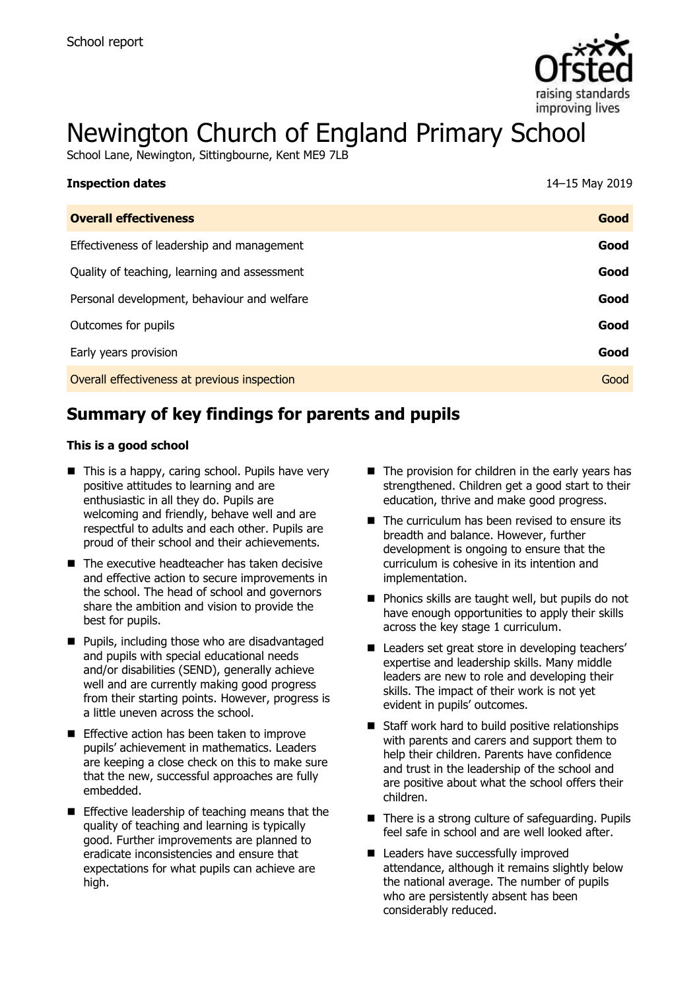

# Newington Church of England Primary School

School Lane, Newington, Sittingbourne, Kent ME9 7LB

| <b>Inspection dates</b>                      | 14-15 May 2019 |
|----------------------------------------------|----------------|
| <b>Overall effectiveness</b>                 | Good           |
| Effectiveness of leadership and management   | Good           |
| Quality of teaching, learning and assessment | Good           |
| Personal development, behaviour and welfare  | Good           |
| Outcomes for pupils                          | Good           |
| Early years provision                        | Good           |
| Overall effectiveness at previous inspection | Good           |

# **Summary of key findings for parents and pupils**

#### **This is a good school**

- $\blacksquare$  This is a happy, caring school. Pupils have very positive attitudes to learning and are enthusiastic in all they do. Pupils are welcoming and friendly, behave well and are respectful to adults and each other. Pupils are proud of their school and their achievements.
- $\blacksquare$  The executive headteacher has taken decisive and effective action to secure improvements in the school. The head of school and governors share the ambition and vision to provide the best for pupils.
- **Pupils, including those who are disadvantaged** and pupils with special educational needs and/or disabilities (SEND), generally achieve well and are currently making good progress from their starting points. However, progress is a little uneven across the school.
- **Effective action has been taken to improve** pupils' achievement in mathematics. Leaders are keeping a close check on this to make sure that the new, successful approaches are fully embedded.
- **Effective leadership of teaching means that the** quality of teaching and learning is typically good. Further improvements are planned to eradicate inconsistencies and ensure that expectations for what pupils can achieve are high.
- $\blacksquare$  The provision for children in the early years has strengthened. Children get a good start to their education, thrive and make good progress.
- $\blacksquare$  The curriculum has been revised to ensure its breadth and balance. However, further development is ongoing to ensure that the curriculum is cohesive in its intention and implementation.
- Phonics skills are taught well, but pupils do not have enough opportunities to apply their skills across the key stage 1 curriculum.
- Leaders set great store in developing teachers' expertise and leadership skills. Many middle leaders are new to role and developing their skills. The impact of their work is not yet evident in pupils' outcomes.
- $\blacksquare$  Staff work hard to build positive relationships with parents and carers and support them to help their children. Parents have confidence and trust in the leadership of the school and are positive about what the school offers their children.
- There is a strong culture of safeguarding. Pupils feel safe in school and are well looked after.
- Leaders have successfully improved attendance, although it remains slightly below the national average. The number of pupils who are persistently absent has been considerably reduced.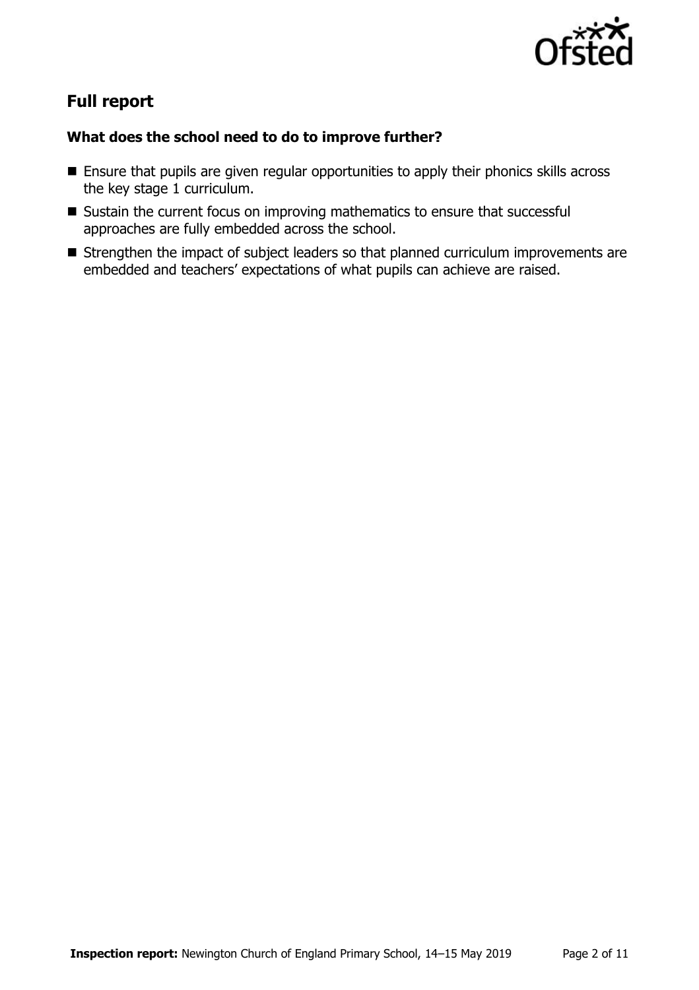

# **Full report**

### **What does the school need to do to improve further?**

- **Ensure that pupils are given regular opportunities to apply their phonics skills across** the key stage 1 curriculum.
- Sustain the current focus on improving mathematics to ensure that successful approaches are fully embedded across the school.
- **Strengthen the impact of subject leaders so that planned curriculum improvements are** embedded and teachers' expectations of what pupils can achieve are raised.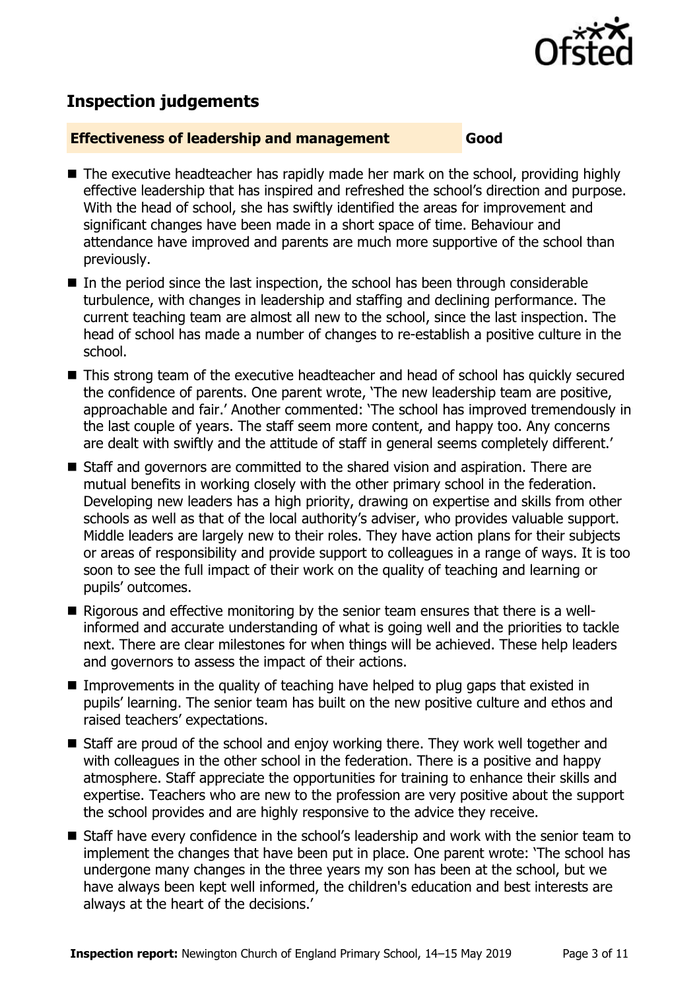

# **Inspection judgements**

#### **Effectiveness of leadership and management Good**

- $\blacksquare$  The executive headteacher has rapidly made her mark on the school, providing highly effective leadership that has inspired and refreshed the school's direction and purpose. With the head of school, she has swiftly identified the areas for improvement and significant changes have been made in a short space of time. Behaviour and attendance have improved and parents are much more supportive of the school than previously.
- $\blacksquare$  In the period since the last inspection, the school has been through considerable turbulence, with changes in leadership and staffing and declining performance. The current teaching team are almost all new to the school, since the last inspection. The head of school has made a number of changes to re-establish a positive culture in the school.
- This strong team of the executive headteacher and head of school has quickly secured the confidence of parents. One parent wrote, 'The new leadership team are positive, approachable and fair.' Another commented: 'The school has improved tremendously in the last couple of years. The staff seem more content, and happy too. Any concerns are dealt with swiftly and the attitude of staff in general seems completely different.'
- Staff and governors are committed to the shared vision and aspiration. There are mutual benefits in working closely with the other primary school in the federation. Developing new leaders has a high priority, drawing on expertise and skills from other schools as well as that of the local authority's adviser, who provides valuable support. Middle leaders are largely new to their roles. They have action plans for their subjects or areas of responsibility and provide support to colleagues in a range of ways. It is too soon to see the full impact of their work on the quality of teaching and learning or pupils' outcomes.
- Rigorous and effective monitoring by the senior team ensures that there is a wellinformed and accurate understanding of what is going well and the priorities to tackle next. There are clear milestones for when things will be achieved. These help leaders and governors to assess the impact of their actions.
- Improvements in the quality of teaching have helped to plug gaps that existed in pupils' learning. The senior team has built on the new positive culture and ethos and raised teachers' expectations.
- Staff are proud of the school and enjoy working there. They work well together and with colleagues in the other school in the federation. There is a positive and happy atmosphere. Staff appreciate the opportunities for training to enhance their skills and expertise. Teachers who are new to the profession are very positive about the support the school provides and are highly responsive to the advice they receive.
- Staff have every confidence in the school's leadership and work with the senior team to implement the changes that have been put in place. One parent wrote: 'The school has undergone many changes in the three years my son has been at the school, but we have always been kept well informed, the children's education and best interests are always at the heart of the decisions.'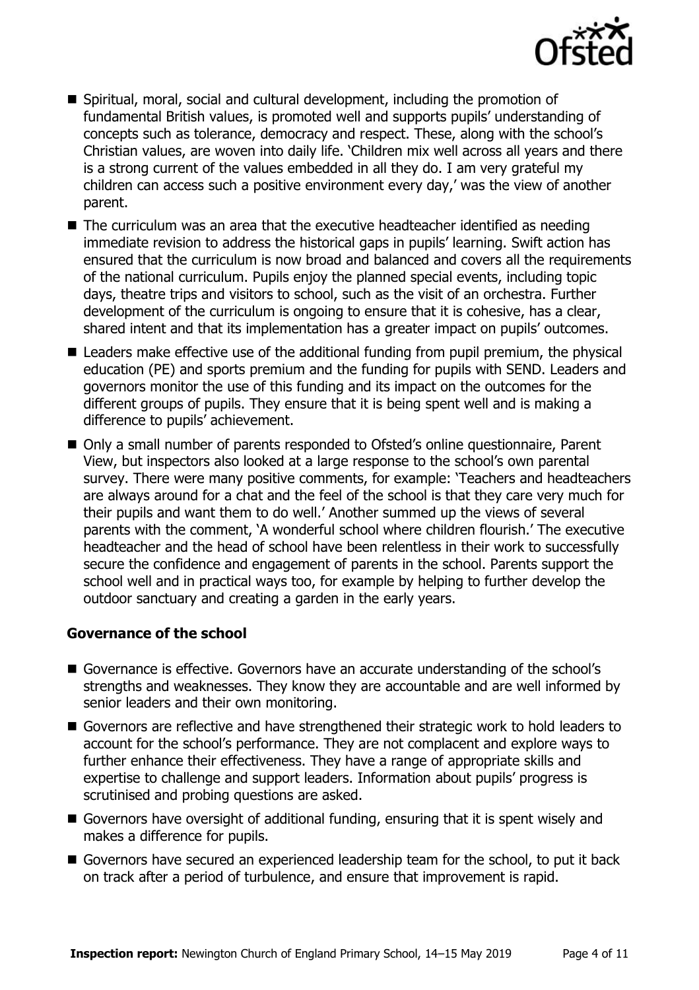

- Spiritual, moral, social and cultural development, including the promotion of fundamental British values, is promoted well and supports pupils' understanding of concepts such as tolerance, democracy and respect. These, along with the school's Christian values, are woven into daily life. 'Children mix well across all years and there is a strong current of the values embedded in all they do. I am very grateful my children can access such a positive environment every day,' was the view of another parent.
- The curriculum was an area that the executive headteacher identified as needing immediate revision to address the historical gaps in pupils' learning. Swift action has ensured that the curriculum is now broad and balanced and covers all the requirements of the national curriculum. Pupils enjoy the planned special events, including topic days, theatre trips and visitors to school, such as the visit of an orchestra. Further development of the curriculum is ongoing to ensure that it is cohesive, has a clear, shared intent and that its implementation has a greater impact on pupils' outcomes.
- Leaders make effective use of the additional funding from pupil premium, the physical education (PE) and sports premium and the funding for pupils with SEND. Leaders and governors monitor the use of this funding and its impact on the outcomes for the different groups of pupils. They ensure that it is being spent well and is making a difference to pupils' achievement.
- Only a small number of parents responded to Ofsted's online questionnaire, Parent View, but inspectors also looked at a large response to the school's own parental survey. There were many positive comments, for example: 'Teachers and headteachers are always around for a chat and the feel of the school is that they care very much for their pupils and want them to do well.' Another summed up the views of several parents with the comment, 'A wonderful school where children flourish.' The executive headteacher and the head of school have been relentless in their work to successfully secure the confidence and engagement of parents in the school. Parents support the school well and in practical ways too, for example by helping to further develop the outdoor sanctuary and creating a garden in the early years.

#### **Governance of the school**

- Governance is effective. Governors have an accurate understanding of the school's strengths and weaknesses. They know they are accountable and are well informed by senior leaders and their own monitoring.
- Governors are reflective and have strengthened their strategic work to hold leaders to account for the school's performance. They are not complacent and explore ways to further enhance their effectiveness. They have a range of appropriate skills and expertise to challenge and support leaders. Information about pupils' progress is scrutinised and probing questions are asked.
- Governors have oversight of additional funding, ensuring that it is spent wisely and makes a difference for pupils.
- Governors have secured an experienced leadership team for the school, to put it back on track after a period of turbulence, and ensure that improvement is rapid.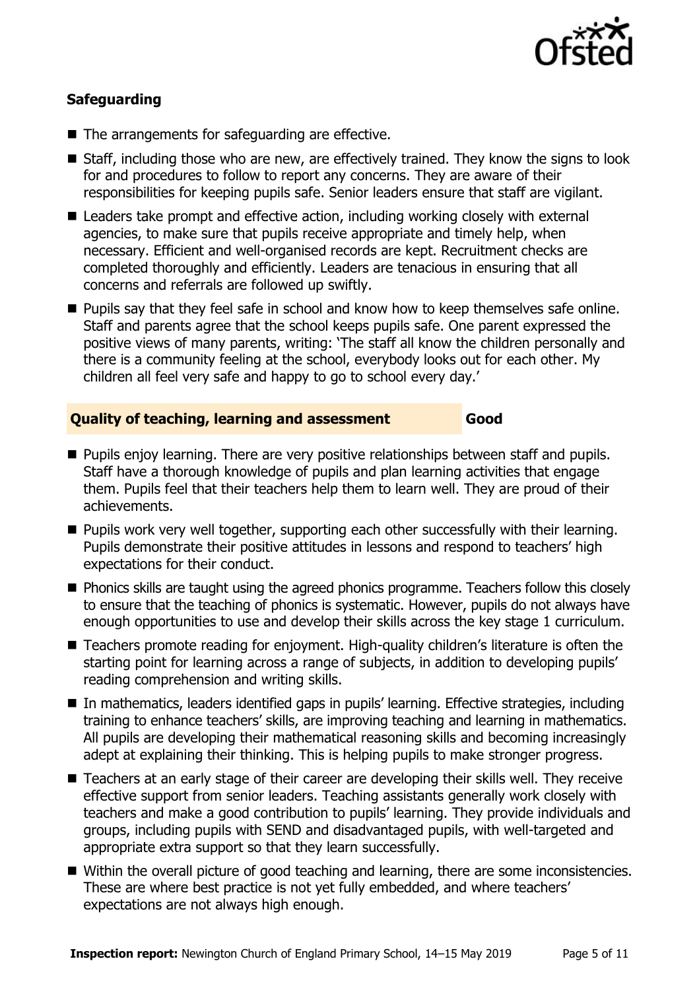

### **Safeguarding**

- The arrangements for safeguarding are effective.
- Staff, including those who are new, are effectively trained. They know the signs to look for and procedures to follow to report any concerns. They are aware of their responsibilities for keeping pupils safe. Senior leaders ensure that staff are vigilant.
- Leaders take prompt and effective action, including working closely with external agencies, to make sure that pupils receive appropriate and timely help, when necessary. Efficient and well-organised records are kept. Recruitment checks are completed thoroughly and efficiently. Leaders are tenacious in ensuring that all concerns and referrals are followed up swiftly.
- **Pupils say that they feel safe in school and know how to keep themselves safe online.** Staff and parents agree that the school keeps pupils safe. One parent expressed the positive views of many parents, writing: 'The staff all know the children personally and there is a community feeling at the school, everybody looks out for each other. My children all feel very safe and happy to go to school every day.'

#### **Quality of teaching, learning and assessment Good**

- **Pupils enjoy learning. There are very positive relationships between staff and pupils.** Staff have a thorough knowledge of pupils and plan learning activities that engage them. Pupils feel that their teachers help them to learn well. They are proud of their achievements.
- **Pupils work very well together, supporting each other successfully with their learning.** Pupils demonstrate their positive attitudes in lessons and respond to teachers' high expectations for their conduct.
- **Phonics skills are taught using the agreed phonics programme. Teachers follow this closely** to ensure that the teaching of phonics is systematic. However, pupils do not always have enough opportunities to use and develop their skills across the key stage 1 curriculum.
- Teachers promote reading for enjoyment. High-quality children's literature is often the starting point for learning across a range of subjects, in addition to developing pupils' reading comprehension and writing skills.
- In mathematics, leaders identified gaps in pupils' learning. Effective strategies, including training to enhance teachers' skills, are improving teaching and learning in mathematics. All pupils are developing their mathematical reasoning skills and becoming increasingly adept at explaining their thinking. This is helping pupils to make stronger progress.
- Teachers at an early stage of their career are developing their skills well. They receive effective support from senior leaders. Teaching assistants generally work closely with teachers and make a good contribution to pupils' learning. They provide individuals and groups, including pupils with SEND and disadvantaged pupils, with well-targeted and appropriate extra support so that they learn successfully.
- Within the overall picture of good teaching and learning, there are some inconsistencies. These are where best practice is not yet fully embedded, and where teachers' expectations are not always high enough.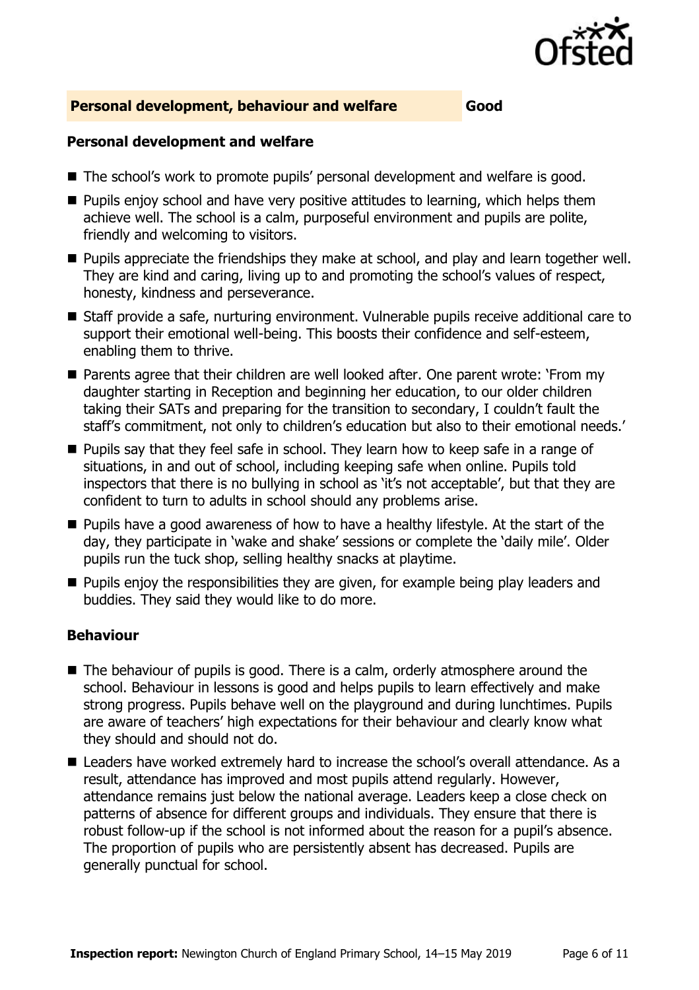

#### **Personal development, behaviour and welfare Good**

#### **Personal development and welfare**

- The school's work to promote pupils' personal development and welfare is good.
- $\blacksquare$  Pupils enjoy school and have very positive attitudes to learning, which helps them achieve well. The school is a calm, purposeful environment and pupils are polite, friendly and welcoming to visitors.
- **Pupils appreciate the friendships they make at school, and play and learn together well.** They are kind and caring, living up to and promoting the school's values of respect, honesty, kindness and perseverance.
- Staff provide a safe, nurturing environment. Vulnerable pupils receive additional care to support their emotional well-being. This boosts their confidence and self-esteem, enabling them to thrive.
- Parents agree that their children are well looked after. One parent wrote: 'From my daughter starting in Reception and beginning her education, to our older children taking their SATs and preparing for the transition to secondary, I couldn't fault the staff's commitment, not only to children's education but also to their emotional needs.'
- **Pupils say that they feel safe in school. They learn how to keep safe in a range of** situations, in and out of school, including keeping safe when online. Pupils told inspectors that there is no bullying in school as 'it's not acceptable', but that they are confident to turn to adults in school should any problems arise.
- **Pupils have a good awareness of how to have a healthy lifestyle. At the start of the** day, they participate in 'wake and shake' sessions or complete the 'daily mile'. Older pupils run the tuck shop, selling healthy snacks at playtime.
- $\blacksquare$  Pupils enjoy the responsibilities they are given, for example being play leaders and buddies. They said they would like to do more.

#### **Behaviour**

- The behaviour of pupils is good. There is a calm, orderly atmosphere around the school. Behaviour in lessons is good and helps pupils to learn effectively and make strong progress. Pupils behave well on the playground and during lunchtimes. Pupils are aware of teachers' high expectations for their behaviour and clearly know what they should and should not do.
- Leaders have worked extremely hard to increase the school's overall attendance. As a result, attendance has improved and most pupils attend regularly. However, attendance remains just below the national average. Leaders keep a close check on patterns of absence for different groups and individuals. They ensure that there is robust follow-up if the school is not informed about the reason for a pupil's absence. The proportion of pupils who are persistently absent has decreased. Pupils are generally punctual for school.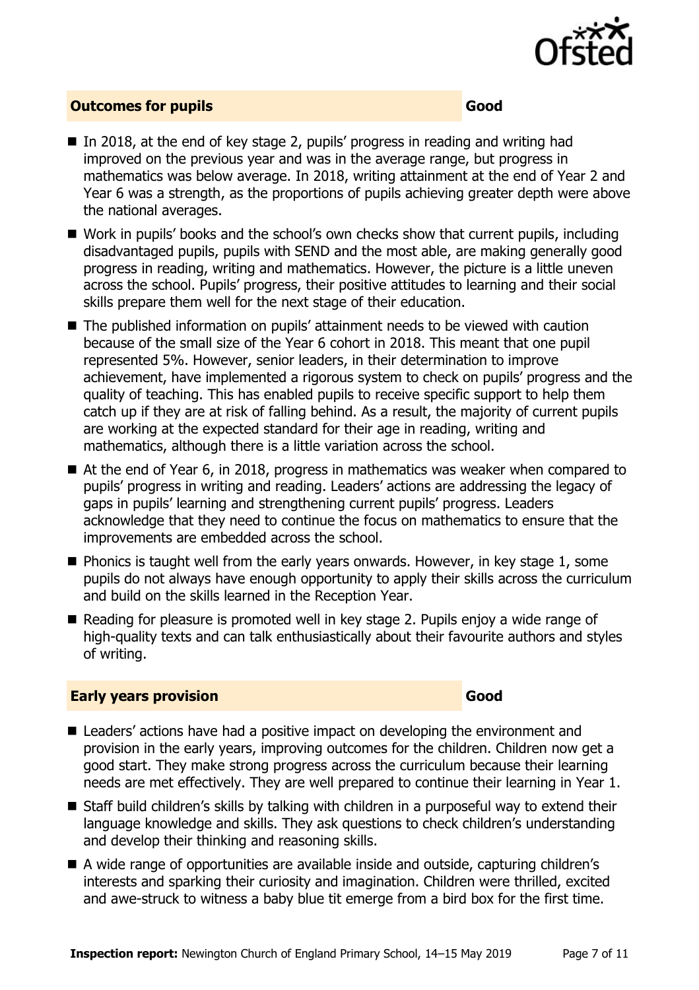

#### **Outcomes for pupils Good**

- In 2018, at the end of key stage 2, pupils' progress in reading and writing had improved on the previous year and was in the average range, but progress in mathematics was below average. In 2018, writing attainment at the end of Year 2 and Year 6 was a strength, as the proportions of pupils achieving greater depth were above the national averages.
- Work in pupils' books and the school's own checks show that current pupils, including disadvantaged pupils, pupils with SEND and the most able, are making generally good progress in reading, writing and mathematics. However, the picture is a little uneven across the school. Pupils' progress, their positive attitudes to learning and their social skills prepare them well for the next stage of their education.
- The published information on pupils' attainment needs to be viewed with caution because of the small size of the Year 6 cohort in 2018. This meant that one pupil represented 5%. However, senior leaders, in their determination to improve achievement, have implemented a rigorous system to check on pupils' progress and the quality of teaching. This has enabled pupils to receive specific support to help them catch up if they are at risk of falling behind. As a result, the majority of current pupils are working at the expected standard for their age in reading, writing and mathematics, although there is a little variation across the school.
- At the end of Year 6, in 2018, progress in mathematics was weaker when compared to pupils' progress in writing and reading. Leaders' actions are addressing the legacy of gaps in pupils' learning and strengthening current pupils' progress. Leaders acknowledge that they need to continue the focus on mathematics to ensure that the improvements are embedded across the school.
- $\blacksquare$  Phonics is taught well from the early years onwards. However, in key stage 1, some pupils do not always have enough opportunity to apply their skills across the curriculum and build on the skills learned in the Reception Year.
- Reading for pleasure is promoted well in key stage 2. Pupils enjoy a wide range of high-quality texts and can talk enthusiastically about their favourite authors and styles of writing.

#### **Early years provision Good Good**

- Leaders' actions have had a positive impact on developing the environment and provision in the early years, improving outcomes for the children. Children now get a good start. They make strong progress across the curriculum because their learning needs are met effectively. They are well prepared to continue their learning in Year 1.
- Staff build children's skills by talking with children in a purposeful way to extend their language knowledge and skills. They ask questions to check children's understanding and develop their thinking and reasoning skills.
- A wide range of opportunities are available inside and outside, capturing children's interests and sparking their curiosity and imagination. Children were thrilled, excited and awe-struck to witness a baby blue tit emerge from a bird box for the first time.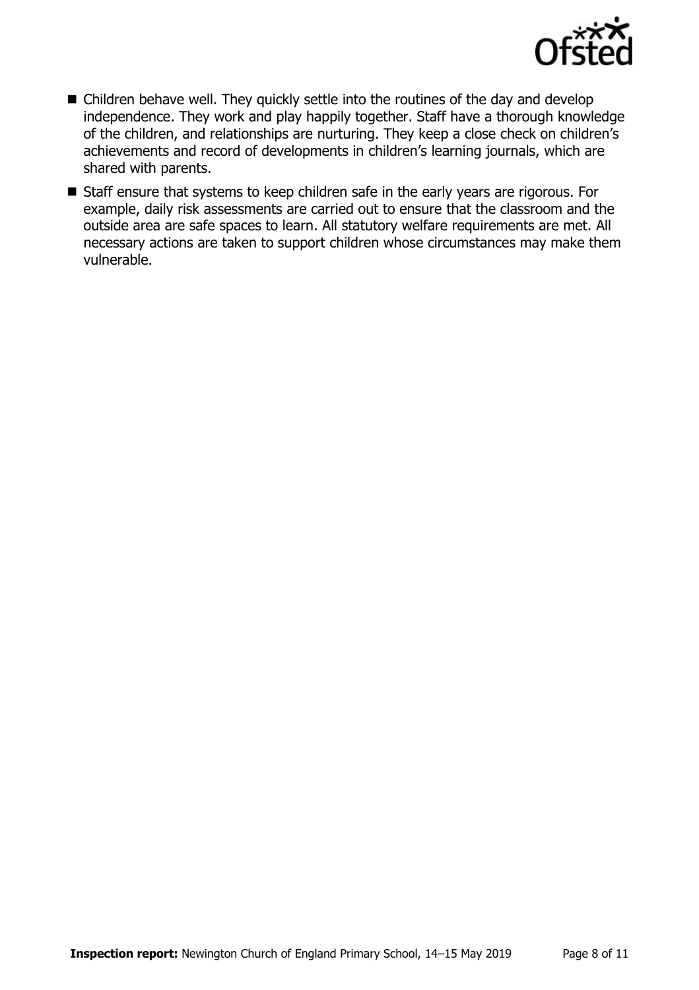

- Children behave well. They quickly settle into the routines of the day and develop independence. They work and play happily together. Staff have a thorough knowledge of the children, and relationships are nurturing. They keep a close check on children's achievements and record of developments in children's learning journals, which are shared with parents.
- Staff ensure that systems to keep children safe in the early years are rigorous. For example, daily risk assessments are carried out to ensure that the classroom and the outside area are safe spaces to learn. All statutory welfare requirements are met. All necessary actions are taken to support children whose circumstances may make them vulnerable.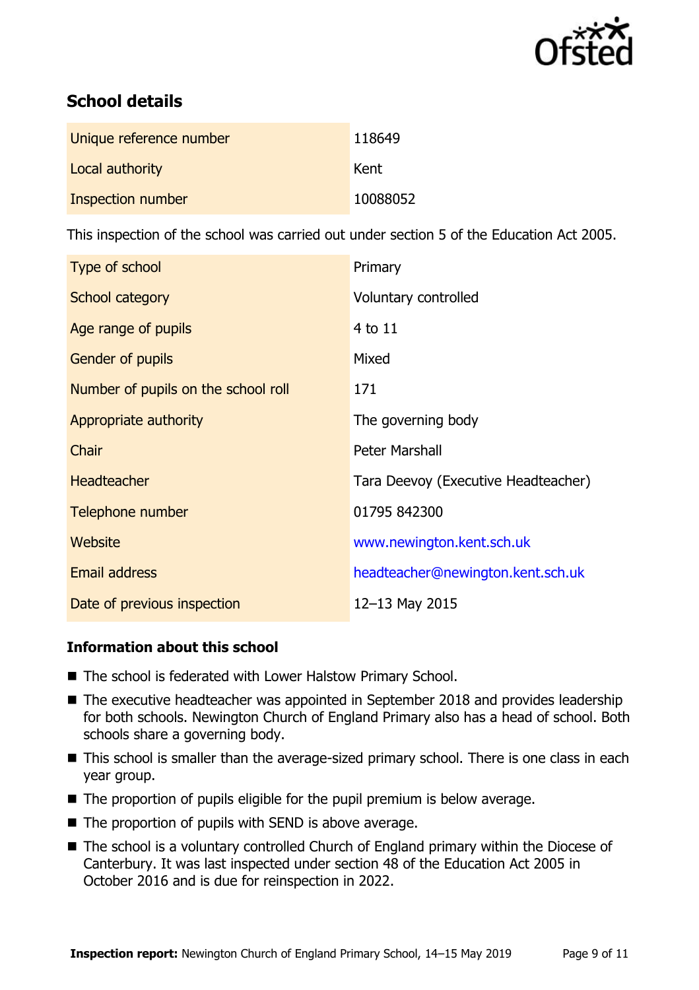

# **School details**

| Unique reference number | 118649   |
|-------------------------|----------|
| Local authority         | Kent     |
| Inspection number       | 10088052 |

This inspection of the school was carried out under section 5 of the Education Act 2005.

| Type of school                      | Primary                             |
|-------------------------------------|-------------------------------------|
| School category                     | Voluntary controlled                |
| Age range of pupils                 | 4 to 11                             |
| <b>Gender of pupils</b>             | Mixed                               |
| Number of pupils on the school roll | 171                                 |
| Appropriate authority               | The governing body                  |
| Chair                               | Peter Marshall                      |
| <b>Headteacher</b>                  | Tara Deevoy (Executive Headteacher) |
| Telephone number                    | 01795 842300                        |
| Website                             | www.newington.kent.sch.uk           |
| <b>Email address</b>                | headteacher@newington.kent.sch.uk   |
| Date of previous inspection         | 12-13 May 2015                      |

#### **Information about this school**

- The school is federated with Lower Halstow Primary School.
- The executive headteacher was appointed in September 2018 and provides leadership for both schools. Newington Church of England Primary also has a head of school. Both schools share a governing body.
- This school is smaller than the average-sized primary school. There is one class in each year group.
- $\blacksquare$  The proportion of pupils eligible for the pupil premium is below average.
- $\blacksquare$  The proportion of pupils with SEND is above average.
- The school is a voluntary controlled Church of England primary within the Diocese of Canterbury. It was last inspected under section 48 of the Education Act 2005 in October 2016 and is due for reinspection in 2022.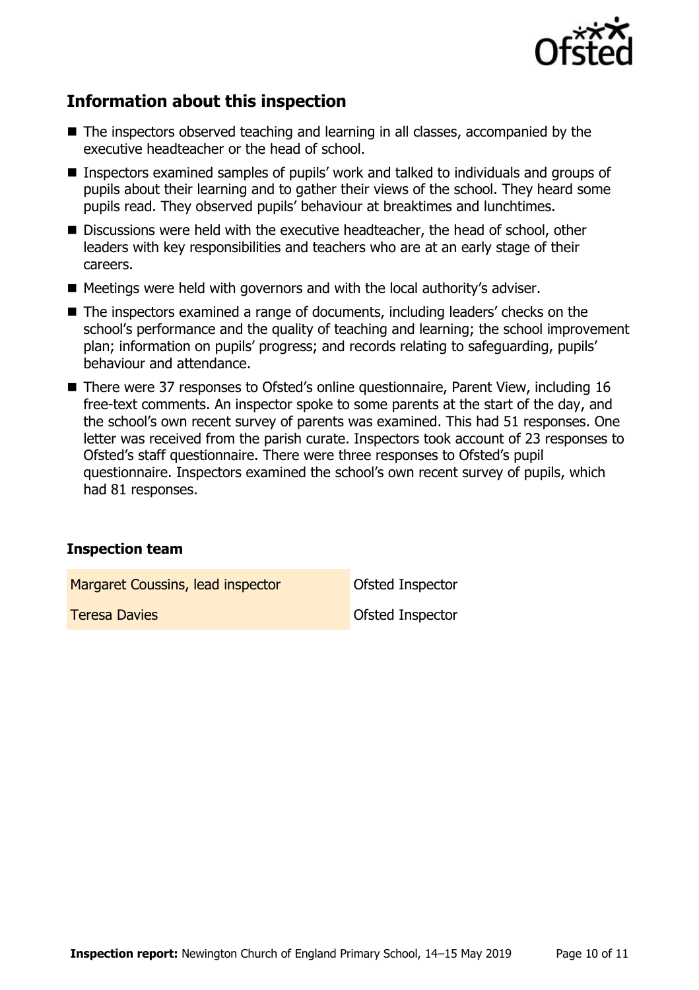

# **Information about this inspection**

- The inspectors observed teaching and learning in all classes, accompanied by the executive headteacher or the head of school.
- Inspectors examined samples of pupils' work and talked to individuals and groups of pupils about their learning and to gather their views of the school. They heard some pupils read. They observed pupils' behaviour at breaktimes and lunchtimes.
- Discussions were held with the executive headteacher, the head of school, other leaders with key responsibilities and teachers who are at an early stage of their careers.
- $\blacksquare$  Meetings were held with governors and with the local authority's adviser.
- The inspectors examined a range of documents, including leaders' checks on the school's performance and the quality of teaching and learning; the school improvement plan; information on pupils' progress; and records relating to safeguarding, pupils' behaviour and attendance.
- There were 37 responses to Ofsted's online questionnaire, Parent View, including 16 free-text comments. An inspector spoke to some parents at the start of the day, and the school's own recent survey of parents was examined. This had 51 responses. One letter was received from the parish curate. Inspectors took account of 23 responses to Ofsted's staff questionnaire. There were three responses to Ofsted's pupil questionnaire. Inspectors examined the school's own recent survey of pupils, which had 81 responses.

#### **Inspection team**

Margaret Coussins, lead inspector **Constant Constant** Ofsted Inspector **Teresa Davies Community Construction Construction Construction Construction Construction Construction Construction**